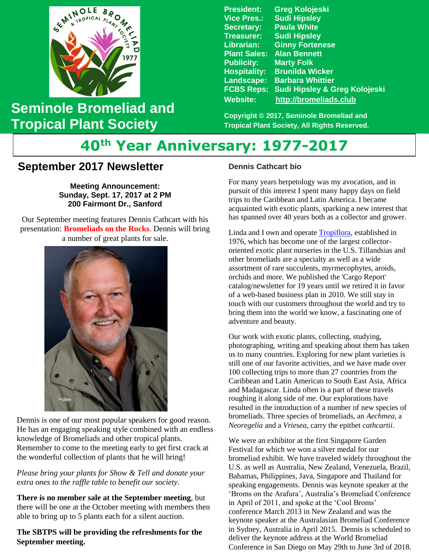

## **Seminole Bromeliad and Tropical Plant Society**

**President: Greg Kolojeski Vice Pres.: Sudi Hipsley Secretary: Paula White Treasurer: Sudi Hipsley Librarian: Ginny Fortenese Plant Sales: Alan Bennett Marty Folk Hospitality: Brunilda Wicker Landscape: Barbara Whittier FCBS Reps: Sudi Hipsley & Greg Kolojeski Website: [http://bromeliads.club](http://bromeliads.club/)**

**Copyright © 2017, Seminole Bromeliad and Tropical Plant Society, All Rights Reserved.**

# **40th Year Anniversary: 1977-2017**

### **September 2017 Newsletter**

**Meeting Announcement: Sunday, Sept. 17, 2017 at 2 PM 200 Fairmont Dr., Sanford**

 presentation: **Bromeliads on the Rocks**. Dennis will bring Our September meeting features Dennis Cathcart with his a number of great plants for sale.



Dennis is one of our most popular speakers for good reason. He has an engaging speaking style combined with an endless knowledge of Bromeliads and other tropical plants. Remember to come to the meeting early to get first crack at the wonderful collection of plants that he will bring!

*Please bring your plants for Show & Tell and donate your extra ones to the raffle table to benefit our society.*

**There is no member sale at the September meeting**, but there will be one at the October meeting with members then able to bring up to 5 plants each for a silent auction.

#### **The SBTPS will be providing the refreshments for the September meeting.**

#### **Dennis Cathcart bio**

For many years herpetology was my avocation, and in pursuit of this interest I spent many happy days on field trips to the Caribbean and Latin America. I became acquainted with exotic plants, sparking a new interest that has spanned over 40 years both as a collector and grower.

Linda and I own and operate **Tropiflora**, established in 1976, which has become one of the largest collectororiented exotic plant nurseries in the U.S. Tillandsias and other bromeliads are a specialty as well as a wide assortment of rare succulents, myrmecophytes, aroids, orchids and more. We published the 'Cargo Report' catalog/newsletter for 19 years until we retired it in favor of a web-based business plan in 2010. We still stay in touch with our customers throughout the world and try to bring them into the world we know, a fascinating one of adventure and beauty.

Our work with exotic plants, collecting, studying, photographing, writing and speaking about them has taken us to many countries. Exploring for new plant varieties is still one of our favorite activities, and we have made over 100 collecting trips to more than 27 countries from the Caribbean and Latin American to South East Asia, Africa and Madagascar. Linda often is a part of these travels roughing it along side of me. Our explorations have resulted in the introduction of a number of new species of bromeliads. Three species of bromeliads, an *Aechmea*, a *Neoregelia* and a *Vriesea*, carry the epithet *cathcartii*.

We were an exhibitor at the first Singapore Garden Festival for which we won a silver medal for our bromeliad exhibit. We have traveled widely throughout the U.S. as well as Australia, New Zealand, Venezuela, Brazil, Bahamas, Philippines, Java, Singapore and Thailand for speaking engagements. Dennis was keynote speaker at the 'Broms on the Arafura', Australia's Bromeliad Conference in April of 2011, and spoke at the 'Cool Broms' conference March 2013 in New Zealand and was the keynote speaker at the Australasian Bromeliad Conference in Sydney, Australia in April 2015. Dennis is scheduled to deliver the keynote address at the World Bromeliad Conference in San Diego on May 29th to June 3rd of 2018.